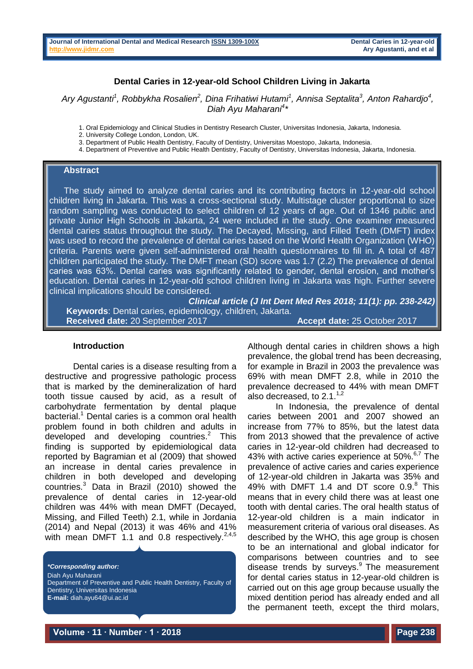# **Dental Caries in 12-year-old School Children Living in Jakarta**

Ary Agustanti<sup>1</sup>, Robbykha Rosalien<sup>2</sup>, Dina Frihatiwi Hutami<sup>1</sup>, Annisa Septalita<sup>3</sup>, Anton Rahardjo<sup>4</sup>, *Diah Ayu Maharani<sup>4</sup> \**

1. Oral Epidemiology and Clinical Studies in Dentistry Research Cluster, Universitas Indonesia, Jakarta, Indonesia.

3. Department of Public Health Dentistry, Faculty of Dentistry, Universitas Moestopo, Jakarta, Indonesia.

4. Department of Preventive and Public Health Dentistry, Faculty of Dentistry, Universitas Indonesia, Jakarta, Indonesia.

## **Abstract**

 The study aimed to analyze dental caries and its contributing factors in 12-year-old school children living in Jakarta. This was a cross-sectional study. Multistage cluster proportional to size random sampling was conducted to select children of 12 years of age. Out of 1346 public and private Junior High Schools in Jakarta, 24 were included in the study. One examiner measured dental caries status throughout the study. The Decayed, Missing, and Filled Teeth (DMFT) index was used to record the prevalence of dental caries based on the World Health Organization (WHO) criteria. Parents were given self-administered oral health questionnaires to fill in. A total of 487 children participated the study. The DMFT mean (SD) score was 1.7 (2.2) The prevalence of dental caries was 63%. Dental caries was significantly related to gender, dental erosion, and mother's education. Dental caries in 12-year-old school children living in Jakarta was high. Further severe clinical implications should be considered.

*Clinical article (J Int Dent Med Res 2018; 11(1): pp. 238-242)*   **Keywords**: Dental caries, epidemiology, children, Jakarta.  **Received date:** 20 September 2017 **Accept date:** 25 October 2017

## **Introduction**

Dental caries is a disease resulting from a destructive and progressive pathologic process that is marked by the demineralization of hard tooth tissue caused by acid, as a result of carbohydrate fermentation by dental plaque bacterial.<sup>1</sup> Dental caries is a common oral health problem found in both children and adults in developed and developing countries. $2$  This finding is supported by epidemiological data reported by Bagramian et al (2009) that showed an increase in dental caries prevalence in children in both developed and developing countries.<sup>3</sup> Data in Brazil (2010) showed the prevalence of dental caries in 12-year-old children was 44% with mean DMFT (Decayed, Missing, and Filled Teeth) 2.1, while in Jordania (2014) and Nepal (2013) it was 46% and 41% with mean DMFT 1.1 and 0.8 respectively.<sup>2,4,5</sup>

*\*Corresponding author:* Diah Ayu Maharani Department of Preventive and Public Health Dentistry, Faculty of Dentistry, Universitas Indonesia **E-mail:** diah.ayu64@ui.ac.id

Although dental caries in children shows a high prevalence, the global trend has been decreasing, for example in Brazil in 2003 the prevalence was 69% with mean DMFT 2.8, while in 2010 the prevalence decreased to 44% with mean DMFT also decreased, to 2.1.<sup>1,2</sup>

In Indonesia, the prevalence of dental caries between 2001 and 2007 showed an increase from 77% to 85%, but the latest data from 2013 showed that the prevalence of active caries in 12-year-old children had decreased to 43% with active caries experience at  $50\%$ .<sup>6,7</sup> The prevalence of active caries and caries experience of 12-year-old children in Jakarta was 35% and 49% with DMFT 1.4 and DT score 0.9. <sup>8</sup> This means that in every child there was at least one tooth with dental caries. The oral health status of 12-year-old children is a main indicator in measurement criteria of various oral diseases. As described by the WHO, this age group is chosen to be an international and global indicator for comparisons between countries and to see disease trends by surveys.<sup>9</sup> The measurement for dental caries status in 12-year-old children is carried out on this age group because usually the mixed dentition period has already ended and all the permanent teeth, except the third molars,

<sup>2.</sup> University College London, London, UK.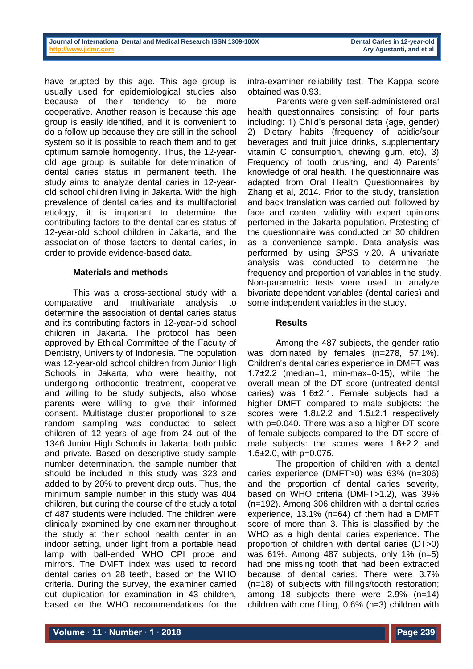have erupted by this age. This age group is usually used for epidemiological studies also because of their tendency to be more cooperative. Another reason is because this age group is easily identified, and it is convenient to do a follow up because they are still in the school system so it is possible to reach them and to get optimum sample homogenity. Thus, the 12-yearold age group is suitable for determination of dental caries status in permanent teeth. The study aims to analyze dental caries in 12-yearold school children living in Jakarta. With the high prevalence of dental caries and its multifactorial etiology, it is important to determine the contributing factors to the dental caries status of 12-year-old school children in Jakarta, and the association of those factors to dental caries, in order to provide evidence-based data.

# **Materials and methods**

This was a cross-sectional study with a comparative and multivariate analysis to determine the association of dental caries status and its contributing factors in 12-year-old school children in Jakarta. The protocol has been approved by Ethical Committee of the Faculty of Dentistry, University of Indonesia. The population was 12-year-old school children from Junior High Schools in Jakarta, who were healthy, not undergoing orthodontic treatment, cooperative and willing to be study subjects, also whose parents were willing to give their informed consent. Multistage cluster proportional to size random sampling was conducted to select children of 12 years of age from 24 out of the 1346 Junior High Schools in Jakarta, both public and private. Based on descriptive study sample number determination, the sample number that should be included in this study was 323 and added to by 20% to prevent drop outs. Thus, the minimum sample number in this study was 404 children, but during the course of the study a total of 487 students were included. The children were clinically examined by one examiner throughout the study at their school health center in an indoor setting, under light from a portable head lamp with ball-ended WHO CPI probe and mirrors. The DMFT index was used to record dental caries on 28 teeth, based on the WHO criteria. During the survey, the examiner carried out duplication for examination in 43 children, based on the WHO recommendations for the

intra-examiner reliability test. The Kappa score obtained was 0.93.

Parents were given self-administered oral health questionnaires consisting of four parts including: 1) Child's personal data (age, gender) 2) Dietary habits (frequency of acidic/sour beverages and fruit juice drinks, supplementary vitamin C consumption, chewing gum, etc), 3) Frequency of tooth brushing, and 4) Parents' knowledge of oral health. The questionnaire was adapted from Oral Health Questionnaires by Zhang et al, 2014. Prior to the study, translation and back translation was carried out, followed by face and content validity with expert opinions perfomed in the Jakarta population. Pretesting of the questionnaire was conducted on 30 children as a convenience sample. Data analysis was performed by using *SPSS* v.20. A univariate analysis was conducted to determine the frequency and proportion of variables in the study. Non-parametric tests were used to analyze bivariate dependent variables (dental caries) and some independent variables in the study.

# **Results**

Among the 487 subjects, the gender ratio was dominated by females (n=278, 57.1%). Children's dental caries experience in DMFT was 1.7±2.2 (median=1, min-max=0-15), while the overall mean of the DT score (untreated dental caries) was 1.6±2.1. Female subjects had a higher DMFT compared to male subjects: the scores were 1.8±2.2 and 1.5±2.1 respectively with p=0.040. There was also a higher DT score of female subjects compared to the DT score of male subjects: the scores were 1.8±2.2 and 1.5±2.0, with p=0.075.

The proportion of children with a dental caries experience (DMFT>0) was 63% (n=306) and the proportion of dental caries severity, based on WHO criteria (DMFT>1.2), was 39% (n=192). Among 306 children with a dental caries experience, 13.1% (n=64) of them had a DMFT score of more than 3. This is classified by the WHO as a high dental caries experience. The proportion of children with dental caries (DT>0) was 61%. Among 487 subjects, only 1% (n=5) had one missing tooth that had been extracted because of dental caries. There were 3.7% (n=18) of subjects with fillings/tooth restoration; among 18 subjects there were 2.9% (n=14) children with one filling, 0.6% (n=3) children with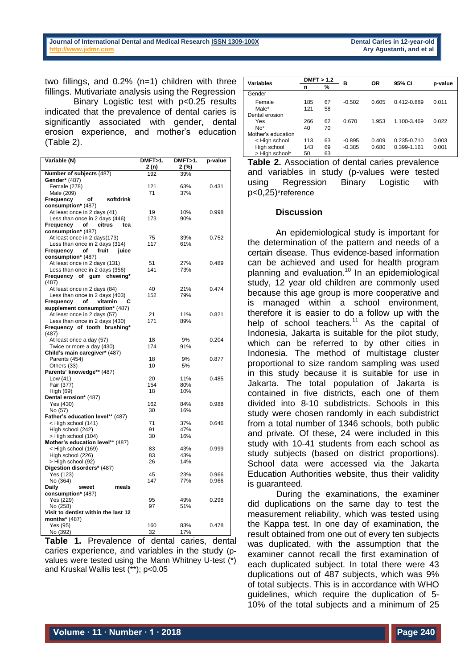two fillings, and 0.2% (n=1) children with three fillings. Mutivariate analysis using the Regression

Binary Logistic test with p<0.25 results indicated that the prevalence of dental caries is significantly associated with gender, dental erosion experience, and mother's education (Table 2).

| Variable (N)                        | DMFT>1. | DMFT>1. | p-value |
|-------------------------------------|---------|---------|---------|
|                                     | 2 (n)   | 2 (%)   |         |
| Number of subjects (487)            | 192     | 39%     |         |
| Gender* (487)                       |         |         |         |
| Female (278)                        | 121     | 63%     | 0.431   |
| Male (209)                          | 71      | 37%     |         |
| <b>Frequency</b><br>softdrink<br>of |         |         |         |
| consumption* (487)                  |         |         |         |
| At least once in 2 days (41)        | 19      | 10%     | 0.998   |
| Less than once in 2 days (446)      | 173     | 90%     |         |
| citrus<br>Frequency<br>tea<br>οf    |         |         |         |
| consumption* (487)                  |         |         |         |
| At least once in 2 days(173)        | 75      | 39%     | 0.752   |
| Less than once in 2 days (314)      | 117     | 61%     |         |
| Frequency<br>fruit<br>iuice<br>οf   |         |         |         |
| consumption* (487)                  |         |         |         |
| At least once in 2 days (131)       | 51      | 27%     | 0.489   |
| Less than once in 2 days (356)      | 141     | 73%     |         |
| Frequency of<br>gum<br>chewing*     |         |         |         |
| (487)                               |         |         |         |
| At least once in 2 days (84)        | 40      | 21%     | 0.474   |
| Less than once in 2 days (403)      | 152     | 79%     |         |
| Frequency<br>оf<br>vitamin<br>С     |         |         |         |
| supplement consumption* (487)       |         |         |         |
| At least once in 2 days (57)        | 21      | 11%     | 0.821   |
| Less than once in 2 days (430)      | 171     | 89%     |         |
| Frequency of tooth brushing*        |         |         |         |
| (487)                               |         |         |         |
| At least once a day (57)            | 18      | 9%      | 0.204   |
| Twice or more a day (430)           | 174     | 91%     |         |
| Child's main caregiver* (487)       |         |         |         |
| Parents (454)                       | 18      | 9%      | 0.877   |
| Others (33)                         | 10      | 5%      |         |
| Parents' knowedge** (487)           |         |         |         |
| Low (41)                            | 20      | 11%     | 0.485   |
| Fair (377)                          | 154     | 80%     |         |
| High (69)                           | 18      | 10%     |         |
| Dental erosion* (487)               |         |         |         |
| Yes (430)                           | 162     | 84%     | 0.988   |
| No (57)                             | 30      | 16%     |         |
| Father's education level** (487)    |         |         |         |
| < High school (141)                 | 71      | 37%     | 0.646   |
| High school (242)                   | 91      | 47%     |         |
| > High school (104)                 | 30      | 16%     |         |
| Mother's education level** (487)    |         |         |         |
| < High school (169)                 | 83      | 43%     | 0.999   |
| High school (226)                   | 83      | 43%     |         |
| > High school (92)                  | 26      | 14%     |         |
| Digestion disorders* (487)          |         |         |         |
| Yes (123)                           | 45      | 23%     | 0.966   |
| No (364)                            | 147     | 77%     | 0.966   |
| Daily<br>meals<br>sweet             |         |         |         |
| consumption* (487)                  |         |         |         |
| Yes (229)                           | 95      | 49%     | 0.298   |
| No (258)                            | 97      | 51%     |         |
| Visit to dentist within the last 12 |         |         |         |
| months $*(487)$                     |         |         |         |
| Yes (95)                            | 160     | 83%     | 0.478   |
| No (392)                            | 32      | 17%     |         |

**Table 1.** Prevalence of dental caries, dental caries experience, and variables in the study (pvalues were tested using the Mann Whitney U-test (\*) and Kruskal Wallis test (\*\*); p<0.05

| <b>Variables</b>   | DMFT > 1.2 |      | в        | ΟR    | 95% CI          | p-value |
|--------------------|------------|------|----------|-------|-----------------|---------|
|                    | n          | $\%$ |          |       |                 |         |
| Gender             |            |      |          |       |                 |         |
| Female             | 185        | 67   | $-0.502$ | 0.605 | 0.412-0.889     | 0.011   |
| Male*              | 121        | 58   |          |       |                 |         |
| Dental erosion     |            |      |          |       |                 |         |
| Yes                | 266        | 62   | 0.670    | 1.953 | 1.100-3.469     | 0.022   |
| $No*$              | 40         | 70   |          |       |                 |         |
| Mother's education |            |      |          |       |                 |         |
| < High school      | 113        | 63   | $-0.895$ | 0.409 | $0.235 - 0.710$ | 0.003   |
| High school        | 143        | 69   | $-0.385$ | 0.680 | 0.399-1.161     | 0.001   |
| > High school*     | 50         | 63   |          |       |                 |         |

**Table 2.** Association of dental caries prevalence and variables in study (p-values were tested using Regression Binary Logistic with p<0,25)\*reference

### **Discussion**

An epidemiological study is important for the determination of the pattern and needs of a certain disease. Thus evidence-based information can be achieved and used for health program planning and evaluation.<sup>10</sup> In an epidemiological study, 12 year old children are commonly used because this age group is more cooperative and is managed within a school environment, therefore it is easier to do a follow up with the help of school teachers.<sup>11</sup> As the capital of Indonesia, Jakarta is suitable for the pilot study, which can be referred to by other cities in Indonesia. The method of multistage cluster proportional to size random sampling was used in this study because it is suitable for use in Jakarta. The total population of Jakarta is contained in five districts, each one of them divided into 8-10 subdistricts. Schools in this study were chosen randomly in each subdistrict from a total number of 1346 schools, both public and private. Of these, 24 were included in this study with 10-41 students from each school as study subjects (based on district proportions). School data were accessed via the Jakarta Education Authorities website, thus their validity is guaranteed.

During the examinations, the examiner did duplications on the same day to test the measurement reliability, which was tested using the Kappa test. In one day of examination, the result obtained from one out of every ten subjects was duplicated, with the assumption that the examiner cannot recall the first examination of each duplicated subject. In total there were 43 duplications out of 487 subjects, which was 9% of total subjects. This is in accordance with WHO guidelines, which require the duplication of 5- 10% of the total subjects and a minimum of 25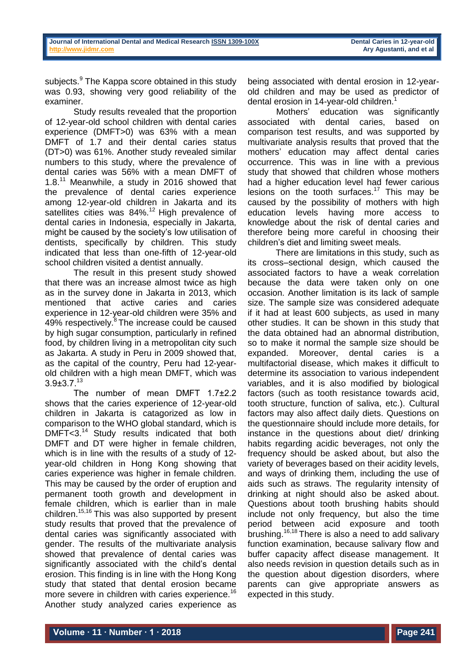subjects.<sup>9</sup> The Kappa score obtained in this study was 0.93, showing very good reliability of the examiner.

Study results revealed that the proportion of 12-year-old school children with dental caries experience (DMFT>0) was 63% with a mean DMFT of 1.7 and their dental caries status (DT>0) was 61%. Another study revealed similar numbers to this study, where the prevalence of dental caries was 56% with a mean DMFT of 1.8.<sup>11</sup> Meanwhile, a study in 2016 showed that the prevalence of dental caries experience among 12-year-old children in Jakarta and its satellites cities was  $84\%$ .<sup>12</sup> High prevalence of dental caries in Indonesia, especially in Jakarta, might be caused by the society's low utilisation of dentists, specifically by children. This study indicated that less than one-fifth of 12-year-old school children visited a dentist annually.

The result in this present study showed that there was an increase almost twice as high as in the survey done in Jakarta in 2013, which mentioned that active caries and caries experience in 12-year-old children were 35% and 49% respectively.<sup>8</sup> The increase could be caused by high sugar consumption, particularly in refined food, by children living in a metropolitan city such as Jakarta. A study in Peru in 2009 showed that, as the capital of the country, Peru had 12-yearold children with a high mean DMFT, which was 3.9±3.7.<sup>13</sup>

The number of mean DMFT 1.7±2.2 shows that the caries experience of 12-year-old children in Jakarta is catagorized as low in comparison to the WHO global standard, which is  $DMFT < 3.14$  Study results indicated that both DMFT and DT were higher in female children, which is in line with the results of a study of 12 year-old children in Hong Kong showing that caries experience was higher in female children. This may be caused by the order of eruption and permanent tooth growth and development in female children, which is earlier than in male children.<sup>15,16</sup> This was also supported by present study results that proved that the prevalence of dental caries was significantly associated with gender. The results of the multivariate analysis showed that prevalence of dental caries was significantly associated with the child's dental erosion. This finding is in line with the Hong Kong study that stated that dental erosion became more severe in children with caries experience.<sup>16</sup> Another study analyzed caries experience as

Mothers' education was significantly associated with dental caries, based on comparison test results, and was supported by multivariate analysis results that proved that the mothers' education may affect dental caries occurrence. This was in line with a previous study that showed that children whose mothers had a higher education level had fewer carious lesions on the tooth surfaces.<sup>17</sup> This may be caused by the possibility of mothers with high education levels having more access to knowledge about the risk of dental caries and therefore being more careful in choosing their children's diet and limiting sweet meals.

There are limitations in this study, such as its cross–sectional design, which caused the associated factors to have a weak correlation because the data were taken only on one occasion. Another limitation is its lack of sample size. The sample size was considered adequate if it had at least 600 subjects, as used in many other studies. It can be shown in this study that the data obtained had an abnormal distribution, so to make it normal the sample size should be expanded. Moreover, dental caries is a multifactorial disease, which makes it difficult to determine its association to various independent variables, and it is also modified by biological factors (such as tooth resistance towards acid, tooth structure, function of saliva, etc.). Cultural factors may also affect daily diets. Questions on the questionnaire should include more details, for instance in the questions about diet/ drinking habits regarding acidic beverages, not only the frequency should be asked about, but also the variety of beverages based on their acidity levels, and ways of drinking them, including the use of aids such as straws. The regularity intensity of drinking at night should also be asked about. Questions about tooth brushing habits should include not only frequency, but also the time period between acid exposure and tooth brushing.16,18 There is also a need to add salivary function examination, because salivary flow and buffer capacity affect disease management. It also needs revision in question details such as in the question about digestion disorders, where parents can give appropriate answers as expected in this study.